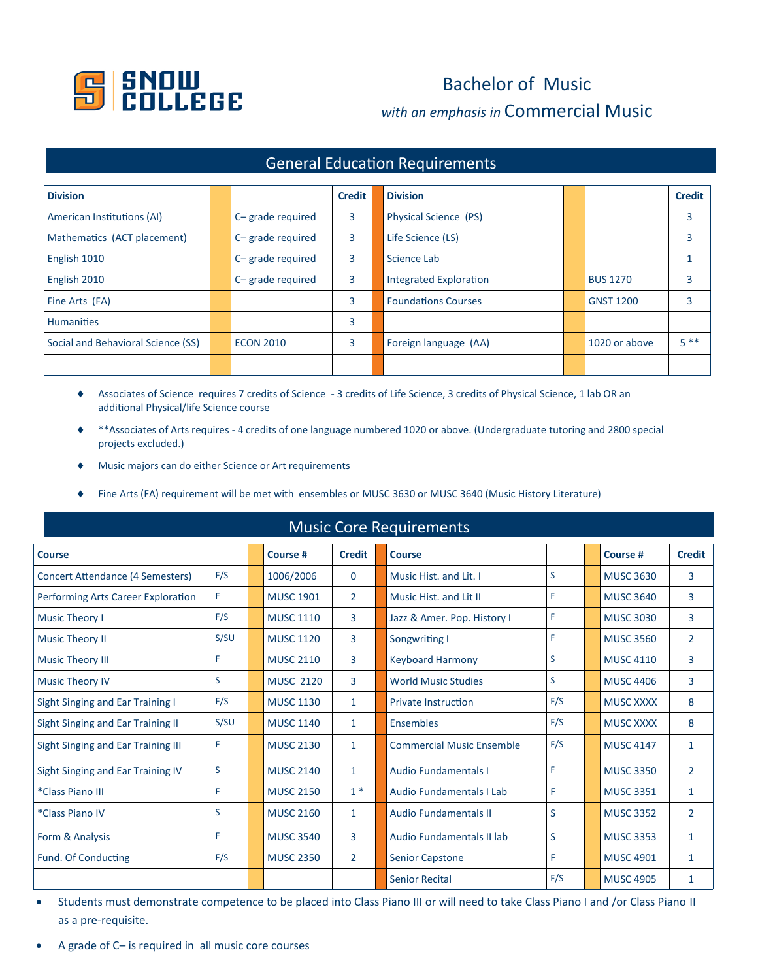

## Bachelor of Music *with an emphasis in* Commercial Music

| <b>General Education Requirements</b> |  |                  |               |                               |  |                  |               |  |  |  |  |
|---------------------------------------|--|------------------|---------------|-------------------------------|--|------------------|---------------|--|--|--|--|
| <b>Division</b>                       |  |                  | <b>Credit</b> | <b>Division</b>               |  |                  | <b>Credit</b> |  |  |  |  |
| American Institutions (AI)            |  | C-grade required | 3             | Physical Science (PS)         |  |                  | 3             |  |  |  |  |
| Mathematics (ACT placement)           |  | C-grade required | 3             | Life Science (LS)             |  |                  | 3             |  |  |  |  |
| English 1010                          |  | C-grade required | 3             | Science Lab                   |  |                  |               |  |  |  |  |
| English 2010                          |  | C-grade required | 3             | <b>Integrated Exploration</b> |  | <b>BUS 1270</b>  | 3             |  |  |  |  |
| Fine Arts (FA)                        |  |                  | 3             | <b>Foundations Courses</b>    |  | <b>GNST 1200</b> | 3             |  |  |  |  |
| <b>Humanities</b>                     |  |                  | 3             |                               |  |                  |               |  |  |  |  |
| Social and Behavioral Science (SS)    |  | <b>ECON 2010</b> | 3             | Foreign language (AA)         |  | 1020 or above    | $5**$         |  |  |  |  |
|                                       |  |                  |               |                               |  |                  |               |  |  |  |  |

## Associates of Science requires 7 credits of Science - 3 credits of Life Science, 3 credits of Physical Science, 1 lab OR an additional Physical/life Science course

- \*\*Associates of Arts requires 4 credits of one language numbered 1020 or above. (Undergraduate tutoring and 2800 special projects excluded.)
- Music majors can do either Science or Art requirements
- Fine Arts (FA) requirement will be met with ensembles or MUSC 3630 or MUSC 3640 (Music History Literature)

| <b>Music Core Requirements</b>          |      |  |                  |                |                                  |     |  |                  |                |  |  |  |
|-----------------------------------------|------|--|------------------|----------------|----------------------------------|-----|--|------------------|----------------|--|--|--|
| <b>Course</b>                           |      |  | Course #         | <b>Credit</b>  | <b>Course</b>                    |     |  | Course #         | <b>Credit</b>  |  |  |  |
| Concert Attendance (4 Semesters)        | F/S  |  | 1006/2006        | $\Omega$       | Music Hist, and Lit. I           | S   |  | <b>MUSC 3630</b> | 3              |  |  |  |
| Performing Arts Career Exploration      | F    |  | <b>MUSC 1901</b> | $\overline{2}$ | Music Hist, and Lit II           | F   |  | <b>MUSC 3640</b> | 3              |  |  |  |
| <b>Music Theory I</b>                   | F/S  |  | <b>MUSC 1110</b> | 3              | Jazz & Amer. Pop. History I      | F   |  | <b>MUSC 3030</b> | 3              |  |  |  |
| <b>Music Theory II</b>                  | S/SU |  | <b>MUSC 1120</b> | 3              | Songwriting I                    | F   |  | <b>MUSC 3560</b> | $\overline{2}$ |  |  |  |
| <b>Music Theory III</b>                 | F    |  | <b>MUSC 2110</b> | 3              | <b>Keyboard Harmony</b>          | S   |  | <b>MUSC 4110</b> | 3              |  |  |  |
| <b>Music Theory IV</b>                  | S    |  | <b>MUSC 2120</b> | 3              | <b>World Music Studies</b>       | S   |  | <b>MUSC 4406</b> | 3              |  |  |  |
| <b>Sight Singing and Ear Training I</b> | F/S  |  | <b>MUSC 1130</b> | $\mathbf{1}$   | <b>Private Instruction</b>       | F/S |  | <b>MUSC XXXX</b> | 8              |  |  |  |
| Sight Singing and Ear Training II       | S/SU |  | <b>MUSC 1140</b> | $\mathbf{1}$   | Ensembles                        | F/S |  | <b>MUSC XXXX</b> | 8              |  |  |  |
| Sight Singing and Ear Training III      | F    |  | <b>MUSC 2130</b> | $\mathbf{1}$   | <b>Commercial Music Ensemble</b> | F/S |  | <b>MUSC 4147</b> | $\mathbf{1}$   |  |  |  |
| Sight Singing and Ear Training IV       | S    |  | <b>MUSC 2140</b> | $\mathbf{1}$   | <b>Audio Fundamentals I</b>      | F   |  | <b>MUSC 3350</b> | $\overline{2}$ |  |  |  |
| *Class Piano III                        | F    |  | <b>MUSC 2150</b> | $1*$           | <b>Audio Fundamentals I Lab</b>  | F   |  | <b>MUSC 3351</b> | $\mathbf{1}$   |  |  |  |
| *Class Piano IV                         | S    |  | <b>MUSC 2160</b> | $\mathbf{1}$   | <b>Audio Fundamentals II</b>     | S   |  | <b>MUSC 3352</b> | $\overline{2}$ |  |  |  |
| Form & Analysis                         | F    |  | <b>MUSC 3540</b> | 3              | Audio Fundamentals II lab        | S   |  | <b>MUSC 3353</b> | $\mathbf{1}$   |  |  |  |
| Fund. Of Conducting                     | F/S  |  | <b>MUSC 2350</b> | $\overline{2}$ | <b>Senior Capstone</b>           | F   |  | <b>MUSC 4901</b> | $\mathbf{1}$   |  |  |  |
|                                         |      |  |                  |                | <b>Senior Recital</b>            | F/S |  | <b>MUSC 4905</b> | $\mathbf{1}$   |  |  |  |

• Students must demonstrate competence to be placed into Class Piano III or will need to take Class Piano I and /or Class Piano II as a pre-requisite.

• A grade of C– is required in all music core courses